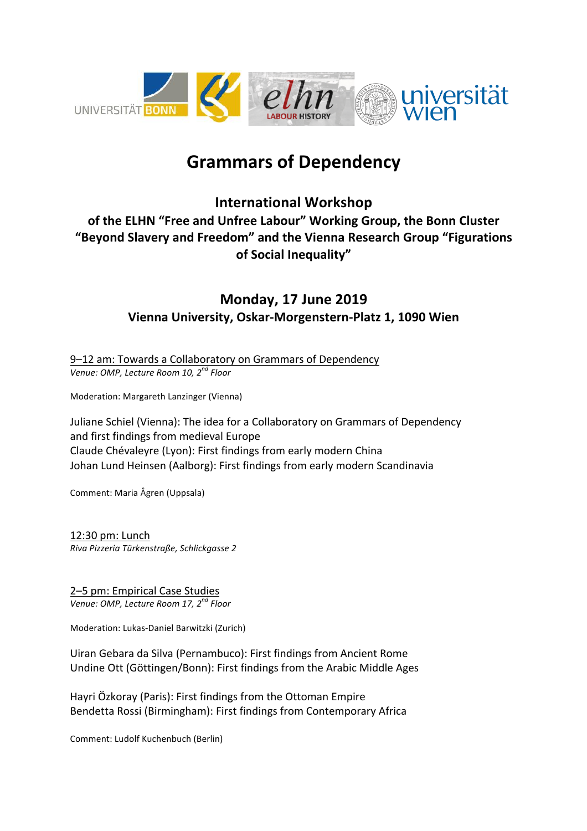

# **Grammars of Dependency**

## **International Workshop** of the ELHN "Free and Unfree Labour" Working Group, the Bonn Cluster **"Beyond Slavery and Freedom" and the Vienna Research Group "Figurations of Social Inequality"**

### **Monday, 17 June 2019 Vienna University, Oskar-Morgenstern-Platz 1, 1090 Wien**

9-12 am: Towards a Collaboratory on Grammars of Dependency *Venue: OMP, Lecture Room 10, 2nd Floor*

Moderation: Margareth Lanzinger (Vienna)

Juliane Schiel (Vienna): The idea for a Collaboratory on Grammars of Dependency and first findings from medieval Europe Claude Chévaleyre (Lyon): First findings from early modern China Johan Lund Heinsen (Aalborg): First findings from early modern Scandinavia

Comment: Maria Ågren (Uppsala)

12:30 pm: Lunch *Riva Pizzeria Türkenstraße, Schlickgasse 2*

2-5 pm: Empirical Case Studies *Venue: OMP, Lecture Room 17, 2nd Floor*

Moderation: Lukas-Daniel Barwitzki (Zurich)

Uiran Gebara da Silva (Pernambuco): First findings from Ancient Rome Undine Ott (Göttingen/Bonn): First findings from the Arabic Middle Ages

Hayri Özkoray (Paris): First findings from the Ottoman Empire Bendetta Rossi (Birmingham): First findings from Contemporary Africa

Comment: Ludolf Kuchenbuch (Berlin)